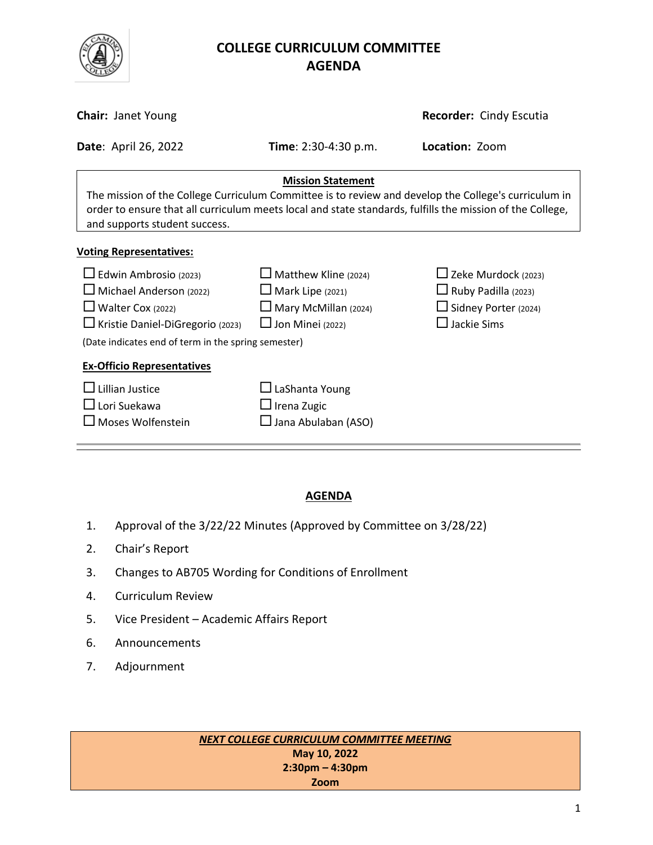

# **COLLEGE CURRICULUM COMMITTEE** **AGENDA**

| <b>Chair: Janet Young</b>                                                                                                                                                                                                                                                      |                                                                                                                  | Recorder: Cindy Escutia                                                                                       |  |  |  |  |  |
|--------------------------------------------------------------------------------------------------------------------------------------------------------------------------------------------------------------------------------------------------------------------------------|------------------------------------------------------------------------------------------------------------------|---------------------------------------------------------------------------------------------------------------|--|--|--|--|--|
| <b>Date: April 26, 2022</b>                                                                                                                                                                                                                                                    | <b>Time</b> : $2:30-4:30$ p.m.                                                                                   | Location: Zoom                                                                                                |  |  |  |  |  |
| <b>Mission Statement</b><br>The mission of the College Curriculum Committee is to review and develop the College's curriculum in<br>order to ensure that all curriculum meets local and state standards, fulfills the mission of the College,<br>and supports student success. |                                                                                                                  |                                                                                                               |  |  |  |  |  |
| <b>Voting Representatives:</b>                                                                                                                                                                                                                                                 |                                                                                                                  |                                                                                                               |  |  |  |  |  |
| $\Box$ Edwin Ambrosio (2023)<br>$\Box$ Michael Anderson (2022)<br>$\Box$ Walter Cox (2022)<br>□ Kristie Daniel-DiGregorio (2023)<br>(Date indicates end of term in the spring semester)                                                                                        | $\Box$ Matthew Kline (2024)<br>$\Box$ Mark Lipe (2021)<br>$\Box$ Mary McMillan (2024)<br>$\Box$ Jon Minei (2022) | $\Box$ Zeke Murdock (2023)<br>$\Box$ Ruby Padilla (2023)<br>$\Box$ Sidney Porter (2024)<br>$\Box$ Jackie Sims |  |  |  |  |  |
| <b>Ex-Officio Representatives</b>                                                                                                                                                                                                                                              |                                                                                                                  |                                                                                                               |  |  |  |  |  |
| Lillian Justice<br>$\Box$ Lori Suekawa<br>$\Box$ Moses Wolfenstein                                                                                                                                                                                                             | $\Box$ LaShanta Young<br>$\Box$ Irena Zugic<br>$\Box$ Jana Abulaban (ASO)                                        |                                                                                                               |  |  |  |  |  |

# **AGENDA**

- 1. Approval of the 3/22/22 Minutes (Approved by Committee on 3/28/22)
- 2. Chair's Report
- 3. Changes to AB705 Wording for Conditions of Enrollment
- 4. Curriculum Review
- 5. Vice President Academic Affairs Report
- 6. Announcements
- 7. Adjournment

*NEXT COLLEGE CURRICULUM COMMITTEE MEETING* **May 10, 2022 2:30pm – 4:30pm Zoom**